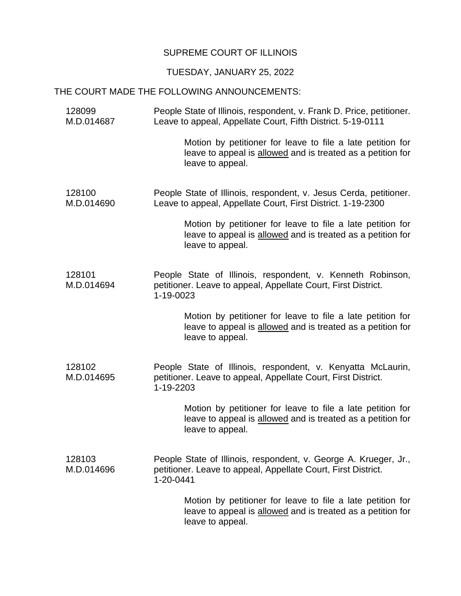## SUPREME COURT OF ILLINOIS

## TUESDAY, JANUARY 25, 2022

## THE COURT MADE THE FOLLOWING ANNOUNCEMENTS:

128099 M.D.014687 People State of Illinois, respondent, v. Frank D. Price, petitioner. Leave to appeal, Appellate Court, Fifth District. 5-19-0111

> Motion by petitioner for leave to file a late petition for leave to appeal is allowed and is treated as a petition for leave to appeal.

128100 M.D.014690 People State of Illinois, respondent, v. Jesus Cerda, petitioner. Leave to appeal, Appellate Court, First District. 1-19-2300

> Motion by petitioner for leave to file a late petition for leave to appeal is allowed and is treated as a petition for leave to appeal.

128101 M.D.014694 People State of Illinois, respondent, v. Kenneth Robinson, petitioner. Leave to appeal, Appellate Court, First District. 1-19-0023

> Motion by petitioner for leave to file a late petition for leave to appeal is allowed and is treated as a petition for leave to appeal.

128102 M.D.014695 People State of Illinois, respondent, v. Kenyatta McLaurin, petitioner. Leave to appeal, Appellate Court, First District. 1-19-2203

> Motion by petitioner for leave to file a late petition for leave to appeal is allowed and is treated as a petition for leave to appeal.

128103 M.D.014696 People State of Illinois, respondent, v. George A. Krueger, Jr., petitioner. Leave to appeal, Appellate Court, First District. 1-20-0441

> Motion by petitioner for leave to file a late petition for leave to appeal is allowed and is treated as a petition for leave to appeal.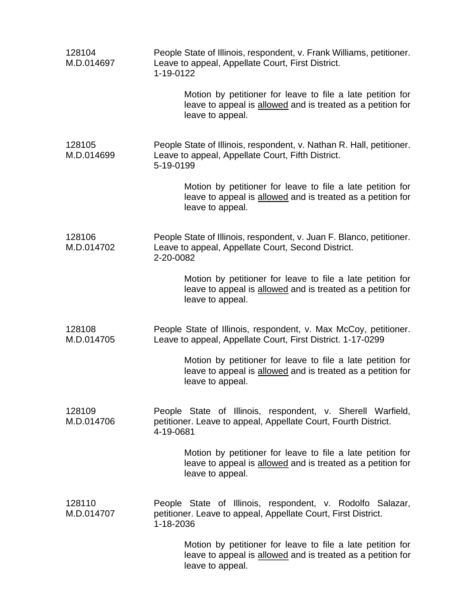| 128104<br>M.D.014697 | People State of Illinois, respondent, v. Frank Williams, petitioner.<br>Leave to appeal, Appellate Court, First District.<br>1-19-0122        |
|----------------------|-----------------------------------------------------------------------------------------------------------------------------------------------|
|                      | Motion by petitioner for leave to file a late petition for<br>leave to appeal is allowed and is treated as a petition for<br>leave to appeal. |
| 128105<br>M.D.014699 | People State of Illinois, respondent, v. Nathan R. Hall, petitioner.<br>Leave to appeal, Appellate Court, Fifth District.<br>5-19-0199        |
|                      | Motion by petitioner for leave to file a late petition for<br>leave to appeal is allowed and is treated as a petition for<br>leave to appeal. |
| 128106<br>M.D.014702 | People State of Illinois, respondent, v. Juan F. Blanco, petitioner.<br>Leave to appeal, Appellate Court, Second District.<br>2-20-0082       |
|                      | Motion by petitioner for leave to file a late petition for<br>leave to appeal is allowed and is treated as a petition for<br>leave to appeal. |
| 128108<br>M.D.014705 | People State of Illinois, respondent, v. Max McCoy, petitioner.<br>Leave to appeal, Appellate Court, First District. 1-17-0299                |
|                      | Motion by petitioner for leave to file a late petition for<br>leave to appeal is allowed and is treated as a petition for<br>leave to appeal. |
| 128109<br>M.D.014706 | People State of Illinois, respondent, v. Sherell Warfield,<br>petitioner. Leave to appeal, Appellate Court, Fourth District.<br>4-19-0681     |
|                      | Motion by petitioner for leave to file a late petition for<br>leave to appeal is allowed and is treated as a petition for<br>leave to appeal. |
| 128110<br>M.D.014707 | People State of Illinois, respondent, v. Rodolfo Salazar,<br>petitioner. Leave to appeal, Appellate Court, First District.<br>1-18-2036       |
|                      | Motion by petitioner for leave to file a late petition for<br>leave to appeal is allowed and is treated as a petition for<br>leave to appeal. |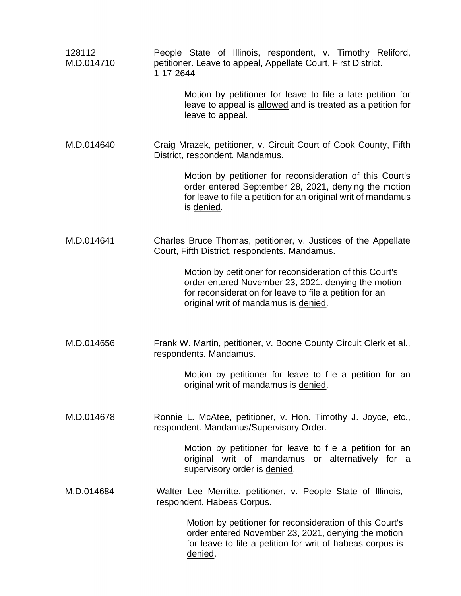| 128112<br>M.D.014710 | People State of Illinois, respondent, v. Timothy Reliford,<br>petitioner. Leave to appeal, Appellate Court, First District.<br>1-17-2644                                                                           |
|----------------------|--------------------------------------------------------------------------------------------------------------------------------------------------------------------------------------------------------------------|
|                      | Motion by petitioner for leave to file a late petition for<br>leave to appeal is allowed and is treated as a petition for<br>leave to appeal.                                                                      |
| M.D.014640           | Craig Mrazek, petitioner, v. Circuit Court of Cook County, Fifth<br>District, respondent. Mandamus.                                                                                                                |
|                      | Motion by petitioner for reconsideration of this Court's<br>order entered September 28, 2021, denying the motion<br>for leave to file a petition for an original writ of mandamus<br>is denied.                    |
| M.D.014641           | Charles Bruce Thomas, petitioner, v. Justices of the Appellate<br>Court, Fifth District, respondents. Mandamus.                                                                                                    |
|                      | Motion by petitioner for reconsideration of this Court's<br>order entered November 23, 2021, denying the motion<br>for reconsideration for leave to file a petition for an<br>original writ of mandamus is denied. |
| M.D.014656           | Frank W. Martin, petitioner, v. Boone County Circuit Clerk et al.,<br>respondents. Mandamus.                                                                                                                       |
|                      | Motion by petitioner for leave to file a petition for an<br>original writ of mandamus is denied.                                                                                                                   |
| M.D.014678           | Ronnie L. McAtee, petitioner, v. Hon. Timothy J. Joyce, etc.,<br>respondent. Mandamus/Supervisory Order.                                                                                                           |
|                      | Motion by petitioner for leave to file a petition for an<br>original writ of mandamus or alternatively for a<br>supervisory order is denied.                                                                       |
| M.D.014684           | Walter Lee Merritte, petitioner, v. People State of Illinois,<br>respondent. Habeas Corpus.                                                                                                                        |
|                      | Motion by petitioner for reconsideration of this Court's<br>order entered November 23, 2021, denying the motion<br>for leave to file a petition for writ of habeas corpus is<br>denied.                            |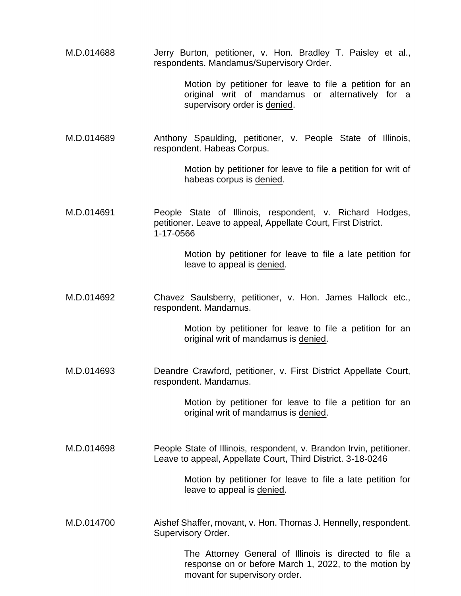to file a petition for an Motion by petitioner for leave to file a petition for an<br>original writ of mandamus or alternatively for a M.D.014689 Anthony Spaulding, petitioner, v. People State of Illinois, Motion by petitioner for leave to file a petition for writ of M.D.014691 People State of Illinois, respondent, v. Richard Hodges, Motion by petitioner for leave to file a late petition for M.D.014692 Chavez Saulsberry, petitioner, v. Hon. James Hallock etc., Motion by petitioner for leave to file a petition for an M.D.014693 Deandre Crawford, petitioner, v. First District Appellate Court, Motion by petitioner for leave to file a petition for an M.D.014698 People State of Illinois, respondent, v. Brandon Irvin, petitioner. Motion by petitioner for leave to file a late petition for The Attorney General of Illinois is directed to file a response on or before March 1, 2022, to the motion by respondents. Mandamus/Supervisory Order. supervisory order is denied. respondent. Habeas Corpus. habeas corpus is denied. petitioner. Leave to appeal, Appellate Court, First District. 1-17-0566 leave to appeal is denied. respondent. Mandamus. original writ of mandamus is denied. respondent. Mandamus. original writ of mandamus is denied. Leave to appeal, Appellate Court, Third District. 3-18-0246 leave to appeal is denied. M.D.014700 Aishef Shaffer, movant, v. Hon. Thomas J. Hennelly, respondent. Supervisory Order. movant for supervisory order.

M.D.014688 Jerry Burton, petitioner, v. Hon. Bradley T. Paisley et al.,